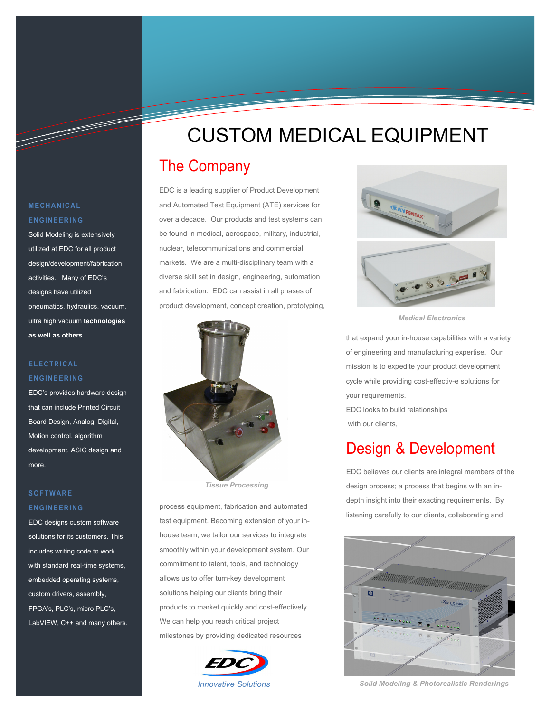# CUSTOM MEDICAL EQUIPMENT

# The Company

EDC is a leading supplier of Product Development and Automated Test Equipment (ATE) services for over a decade. Our products and test systems can be found in medical, aerospace, military, industrial, nuclear, telecommunications and commercial markets. We are a multi-disciplinary team with a diverse skill set in design, engineering, automation and fabrication. EDC can assist in all phases of product development, concept creation, prototyping,



 *Tissue Processing* 

process equipment, fabrication and automated test equipment. Becoming extension of your inhouse team, we tailor our services to integrate smoothly within your development system. Our commitment to talent, tools, and technology allows us to offer turn-key development solutions helping our clients bring their products to market quickly and cost-effectively. We can help you reach critical project milestones by providing dedicated resources





*Medical Electronics* 

that expand your in-house capabilities with a variety of engineering and manufacturing expertise. Our mission is to expedite your product development cycle while providing cost-effectiv-e solutions for your requirements. EDC looks to build relationships with our clients.

### Design & Development

EDC believes our clients are integral members of the design process; a process that begins with an indepth insight into their exacting requirements. By listening carefully to our clients, collaborating and



*Innovative Solutions Solid Modeling & Photorealistic Renderings*

### **MECHANICAL ENGINEERING**

T

Solid Modeling is extensively utilized at EDC for all product design/development/fabrication activities. Many of EDC's designs have utilized pneumatics, hydraulics, vacuum, ultra high vacuum **technologies as well as others**.

### **ELECTRICAL ENGINEERING**

EDC's provides hardware design that can include Printed Circuit Board Design, Analog, Digital, Motion control, algorithm development, ASIC design and more.

### **SOFTWARE ENGINEERING**

EDC designs custom software solutions for its customers. This includes writing code to work with standard real-time systems, embedded operating systems, custom drivers, assembly, FPGA's, PLC's, micro PLC's, LabVIEW, C++ and many others.